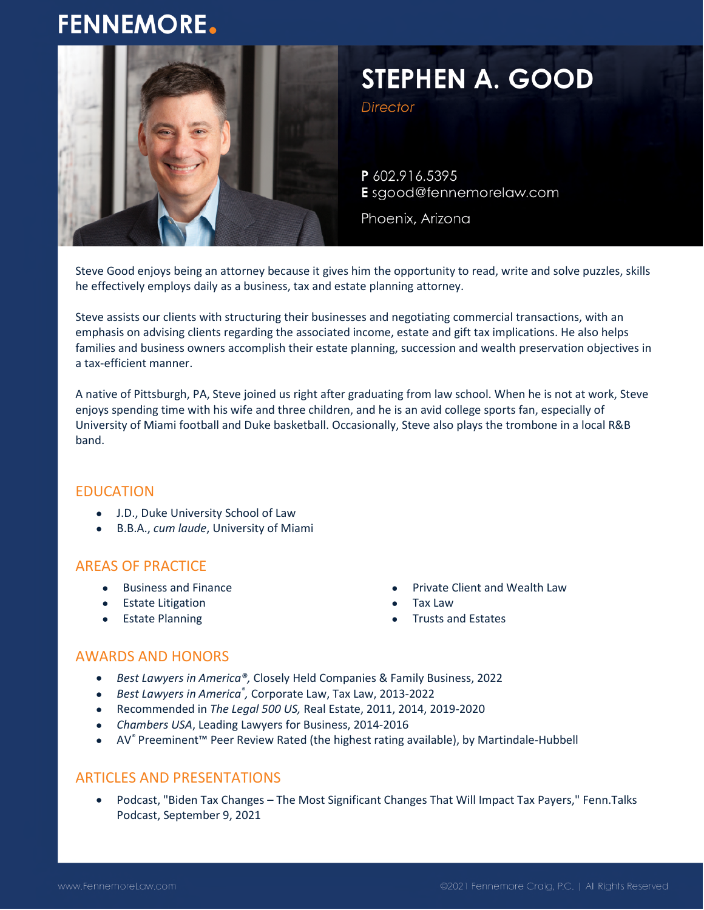# **FENNEMORE.**



# STEPHEN A. GOOD

**Director** 

P 602.916.5395 E sgood@fennemorelaw.com

Phoenix, Arizona

Steve Good enjoys being an attorney because it gives him the opportunity to read, write and solve puzzles, skills he effectively employs daily as a business, tax and estate planning attorney.

Steve assists our clients with structuring their businesses and negotiating commercial transactions, with an emphasis on advising clients regarding the associated income, estate and gift tax implications. He also helps families and business owners accomplish their estate planning, succession and wealth preservation objectives in a tax-efficient manner.

A native of Pittsburgh, PA, Steve joined us right after graduating from law school. When he is not at work, Steve enjoys spending time with his wife and three children, and he is an avid college sports fan, especially of University of Miami football and Duke basketball. Occasionally, Steve also plays the trombone in a local R&B band.

# EDUCATION

- J.D., Duke University School of Law
- B.B.A., *cum laude*, University of Miami

# AREAS OF PRACTICE

- Business and Finance
- **•** Estate Litigation
- **•** Estate Planning
- Private Client and Wealth Law
- Tax Law
- Trusts and Estates

# AWARDS AND HONORS

- *Best Lawyers in America®,* Closely Held Companies & Family Business, 2022
- *Best Lawyers in America® ,* Corporate Law, Tax Law, 2013-2022
- Recommended in *The Legal 500 US,* Real Estate, 2011, 2014, 2019-2020
- *Chambers USA*, Leading Lawyers for Business, 2014-2016
- AV*®* Preeminent™ Peer Review Rated (the highest rating available), by Martindale-Hubbell

#### ARTICLES AND PRESENTATIONS

 Podcast, "Biden Tax Changes – The Most Significant Changes That Will Impact Tax Payers," Fenn.Talks Podcast, September 9, 2021